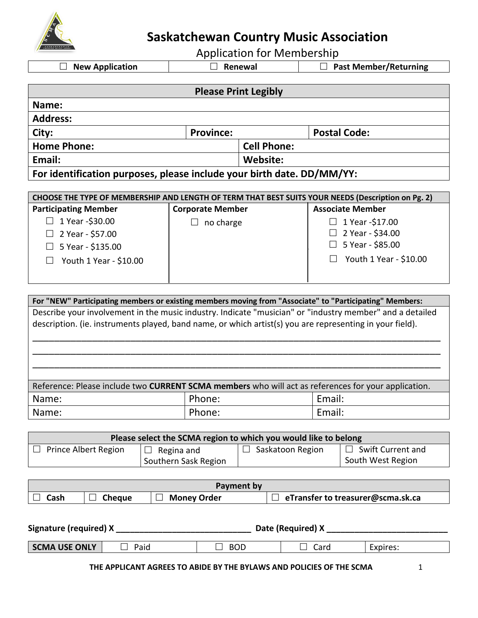

**Saskatchewan Country Music Association**

Application for Membership

**New Application Renewal Past Member/Returning**

|                                                                                                    |                         | <b>Please Print Legibly</b> |                         |  |
|----------------------------------------------------------------------------------------------------|-------------------------|-----------------------------|-------------------------|--|
| Name:                                                                                              |                         |                             |                         |  |
| <b>Address:</b>                                                                                    |                         |                             |                         |  |
| City:                                                                                              | <b>Province:</b>        |                             | <b>Postal Code:</b>     |  |
| <b>Home Phone:</b>                                                                                 |                         | <b>Cell Phone:</b>          |                         |  |
| Email:                                                                                             |                         | Website:                    |                         |  |
| For identification purposes, please include your birth date. DD/MM/YY:                             |                         |                             |                         |  |
|                                                                                                    |                         |                             |                         |  |
| CHOOSE THE TYPE OF MEMBERSHIP AND LENGTH OF TERM THAT BEST SUITS YOUR NEEDS (Description on Pg. 2) |                         |                             |                         |  |
| <b>Participating Member</b>                                                                        | <b>Corporate Member</b> |                             | <b>Associate Member</b> |  |
| 1 Year -\$30.00                                                                                    | no charge               |                             | 1 Year -\$17.00         |  |
| 2 Year - \$57.00                                                                                   |                         |                             | 2 Year - \$34.00        |  |
| 5 Year - \$135.00                                                                                  |                         |                             | 5 Year - \$85.00        |  |
| Youth 1 Year - \$10.00                                                                             |                         |                             | Youth 1 Year - \$10.00  |  |
|                                                                                                    |                         |                             |                         |  |
|                                                                                                    |                         |                             |                         |  |

**For "NEW" Participating members or existing members moving from "Associate" to "Participating" Members:**  Describe your involvement in the music industry. Indicate "musician" or "industry member" and a detailed description. (ie. instruments played, band name, or which artist(s) you are representing in your field). \_\_\_\_\_\_\_\_\_\_\_\_\_\_\_\_\_\_\_\_\_\_\_\_\_\_\_\_\_\_\_\_\_\_\_\_\_\_\_\_\_\_\_\_\_\_\_\_\_\_\_\_\_\_\_\_\_\_\_\_\_\_\_\_\_\_\_\_\_\_\_\_\_\_\_

\_\_\_\_\_\_\_\_\_\_\_\_\_\_\_\_\_\_\_\_\_\_\_\_\_\_\_\_\_\_\_\_\_\_\_\_\_\_\_\_\_\_\_\_\_\_\_\_\_\_\_\_\_\_\_\_\_\_\_\_\_\_\_\_\_\_\_\_\_\_\_\_\_\_\_ \_\_\_\_\_\_\_\_\_\_\_\_\_\_\_\_\_\_\_\_\_\_\_\_\_\_\_\_\_\_\_\_\_\_\_\_\_\_\_\_\_\_\_\_\_\_\_\_\_\_\_\_\_\_\_\_\_\_\_\_\_\_\_\_\_\_\_\_\_\_\_\_\_\_\_

| Reference: Please include two <b>CURRENT SCMA members</b> who will act as references for your application. |        |        |  |
|------------------------------------------------------------------------------------------------------------|--------|--------|--|
| Name:                                                                                                      | Phone: | Email: |  |
| Name:                                                                                                      | Phone: | Email: |  |

| Please select the SCMA region to which you would like to belong |                      |                  |                          |
|-----------------------------------------------------------------|----------------------|------------------|--------------------------|
| <b>Prince Albert Region</b>                                     | $\Box$ Regina and    | Saskatoon Region | $\Box$ Swift Current and |
|                                                                 | Southern Sask Region |                  | South West Region        |

| Payment by |               |                    |                                   |  |
|------------|---------------|--------------------|-----------------------------------|--|
| Cash       | <b>Cheque</b> | <b>Money Order</b> | eTransfer to treasurer@scma.sk.ca |  |

| Signature (required) X |      | Date (Required) X |      |          |
|------------------------|------|-------------------|------|----------|
| <b>SCMA USE ONLY</b>   | Paid | <b>BOD</b>        | Card | Expires: |

**THE APPLICANT AGREES TO ABIDE BY THE BYLAWS AND POLICIES OF THE SCMA** 1